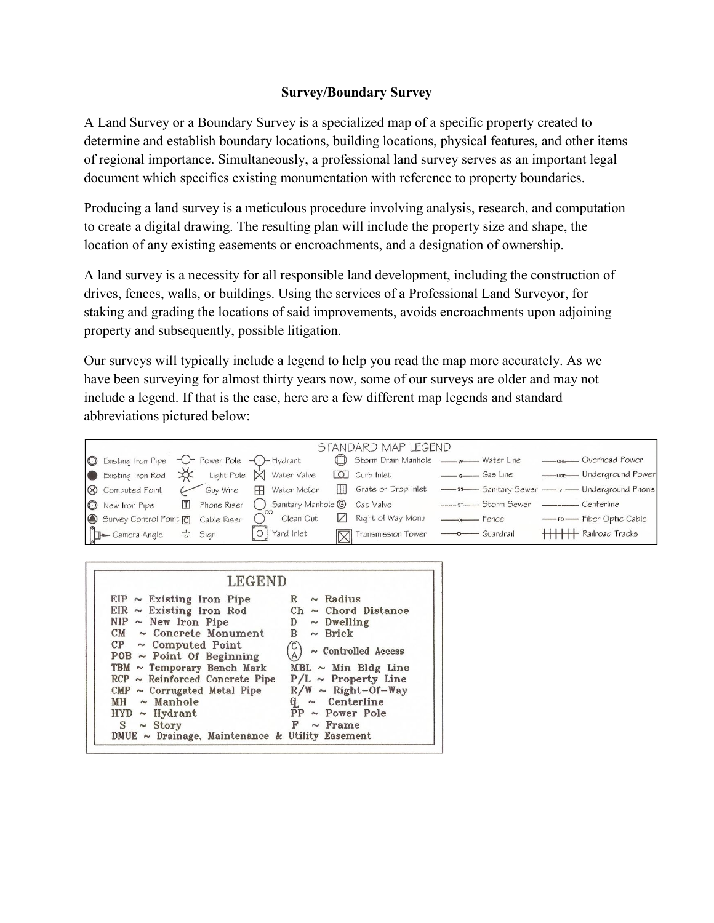## Survey/Boundary Survey

A Land Survey or a Boundary Survey is a specialized map of a specific property created to determine and establish boundary locations, building locations, physical features, and other items of regional importance. Simultaneously, a professional land survey serves as an important legal document which specifies existing monumentation with reference to property boundaries.

Producing a land survey is a meticulous procedure involving analysis, research, and computation to create a digital drawing. The resulting plan will include the property size and shape, the location of any existing easements or encroachments, and a designation of ownership.

A land survey is a necessity for all responsible land development, including the construction of drives, fences, walls, or buildings. Using the services of a Professional Land Surveyor, for staking and grading the locations of said improvements, avoids encroachments upon adjoining property and subsequently, possible litigation.

Our surveys will typically include a legend to help you read the map more accurately. As we have been surveying for almost thirty years now, some of our surveys are older and may not include a legend. If that is the case, here are a few different map legends and standard abbreviations pictured below:

|                                                                                 |          |               | STANDARD MAP LEGEND                    |             |                                  |                                             |
|---------------------------------------------------------------------------------|----------|---------------|----------------------------------------|-------------|----------------------------------|---------------------------------------------|
| $\circled{1}$ Existing Iron Pipe $\circled{1}$ Power Pole $\circled{1}$ Hydrant |          |               | 5 Storm Drain Manhole - w Water Line   |             |                                  | - Overhead Power                            |
| Existing Iron Rod XX Light Pole X Water Valve                                   |          |               | O Curb Inlet                           |             | $\frac{1}{1}$ Gas Line           | -use Underground Power                      |
| S Computed Point                                                                | Guy Wire | H Water Meter | $\Box$ Grate or Drop Inlet             |             |                                  | -ss- Sanitary Sewer - v - Underground Phone |
| $\Box$ New Iron Pipe $\Box$ Phone Riser                                         |          |               | () Sanitary Manhole <b>G</b> Gas Valve |             | -si- Storm Sewer ---- Centerline |                                             |
| Survey Control Point [C] Cable Riser                                            |          | Clean Out     | Right of Way Monu                      |             | $-$ Fence                        | - Fiber Optic Cable                         |
| $\Box$ Camera Angle $\Box$ Sign                                                 |          | O Yard Inlet  | $\nabla$ Transmission Tower            | - Guardrail |                                  | <b>HHI+</b> Railroad Tracks                 |

| <b>LEGEND</b>                                             |                          |
|-----------------------------------------------------------|--------------------------|
| $EIP \sim$ Existing Iron Pipe                             | $R \sim$ Radius          |
| $EIR \sim$ Existing Iron Rod                              | $Ch \sim Chord$ Distance |
| $NIP \sim New$ Iron Pipe                                  | D<br>$\sim$ Dwelling     |
| $CM \sim$ Concrete Monument                               | $B \sim$ Brick           |
| $CP \sim$ Computed Point<br>$POB \sim Point$ Of Beginning | $\sim$ Controlled Access |
| $TBM \sim$ Temporary Bench Mark                           | $MBL \sim Min$ Bldg Line |
| $RCP \sim$ Reinforced Concrete Pipe                       | $P/L \sim$ Property Line |
| $\text{CMP} \sim \text{Corrugated Metal Pipe}$            | $R/W \sim$ Right-Of-Way  |
| $MH \sim$ Manhole                                         | $G \sim$ Centerline      |
| $HYD \sim Hydrant$                                        | $PP \sim Power Pole$     |
| $S \sim$ Story                                            | $F \sim$ Frame           |
| DMUE $\sim$ Drainage, Maintenance & Utility Easement      |                          |